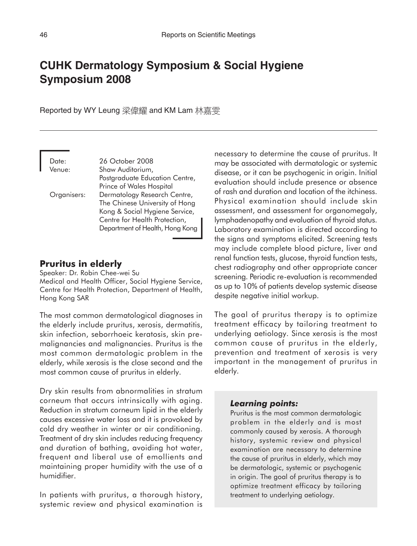# **CUHK Dermatology Symposium & Social Hygiene Symposium 2008**

Reported by WY Leung 梁偉耀 and KM Lam 林嘉雯

| 26 October 2008                 |
|---------------------------------|
| Shaw Auditorium,                |
| Postgraduate Education Centre,  |
| Prince of Wales Hospital        |
| Dermatology Research Centre,    |
| The Chinese University of Hong  |
| Kong & Social Hygiene Service,  |
| Centre for Health Protection,   |
| Department of Health, Hong Kong |
|                                 |

# **Pruritus in elderly**

Speaker: Dr. Robin Chee-wei Su Medical and Health Officer, Social Hygiene Service, Centre for Health Protection, Department of Health, Hong Kong SAR

The most common dermatological diagnoses in the elderly include pruritus, xerosis, dermatitis, skin infection, seborrhoeic keratosis, skin premalignancies and malignancies. Pruritus is the most common dermatologic problem in the elderly, while xerosis is the close second and the most common cause of pruritus in elderly.

Dry skin results from abnormalities in stratum corneum that occurs intrinsically with aging. Reduction in stratum corneum lipid in the elderly causes excessive water loss and it is provoked by cold dry weather in winter or air conditioning. Treatment of dry skin includes reducing frequency and duration of bathing, avoiding hot water, frequent and liberal use of emollients and maintaining proper humidity with the use of a humidifier.

In patients with pruritus, a thorough history, systemic review and physical examination is necessary to determine the cause of pruritus. It may be associated with dermatologic or systemic disease, or it can be psychogenic in origin. Initial evaluation should include presence or absence of rash and duration and location of the itchiness. Physical examination should include skin assessment, and assessment for organomegaly, lymphadenopathy and evaluation of thyroid status. Laboratory examination is directed according to the signs and symptoms elicited. Screening tests may include complete blood picture, liver and renal function tests, glucose, thyroid function tests, chest radiography and other appropriate cancer screening. Periodic re-evaluation is recommended as up to 10% of patients develop systemic disease despite negative initial workup.

The goal of pruritus therapy is to optimize treatment efficacy by tailoring treatment to underlying aetiology. Since xerosis is the most common cause of pruritus in the elderly, prevention and treatment of xerosis is very important in the management of pruritus in elderly.

### *Learning points:*

Pruritus is the most common dermatologic problem in the elderly and is most commonly caused by xerosis. A thorough history, systemic review and physical examination are necessary to determine the cause of pruritus in elderly, which may be dermatologic, systemic or psychogenic in origin. The goal of pruritus therapy is to optimize treatment efficacy by tailoring treatment to underlying aetiology.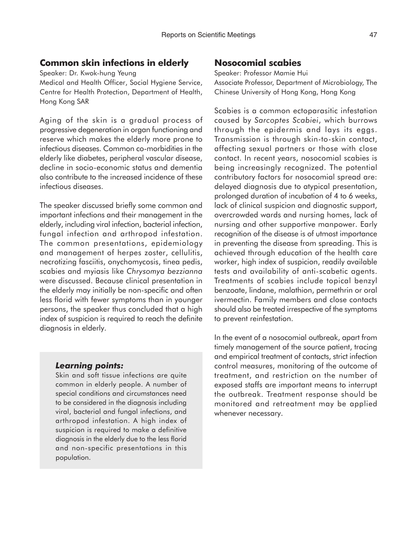# **Common skin infections in elderly**

Speaker: Dr. Kwok-hung Yeung

Medical and Health Officer, Social Hygiene Service, Centre for Health Protection, Department of Health, Hong Kong SAR

Aging of the skin is a gradual process of progressive degeneration in organ functioning and reserve which makes the elderly more prone to infectious diseases. Common co-morbidities in the elderly like diabetes, peripheral vascular disease, decline in socio-economic status and dementia also contribute to the increased incidence of these infectious diseases.

The speaker discussed briefly some common and important infections and their management in the elderly, including viral infection, bacterial infection, fungal infection and arthropod infestation. The common presentations, epidemiology and management of herpes zoster, cellulitis, necrotizing fasciitis, onychomycosis, tinea pedis, scabies and myiasis like *Chrysomya bezzianna* were discussed. Because clinical presentation in the elderly may initially be non-specific and often less florid with fewer symptoms than in younger persons, the speaker thus concluded that a high index of suspicion is required to reach the definite diagnosis in elderly.

# *Learning points:*

Skin and soft tissue infections are quite common in elderly people. A number of special conditions and circumstances need to be considered in the diagnosis including viral, bacterial and fungal infections, and arthropod infestation. A high index of suspicion is required to make a definitive diagnosis in the elderly due to the less florid and non-specific presentations in this population.

# **Nosocomial scabies**

Speaker: Professor Mamie Hui Associate Professor, Department of Microbiology, The Chinese University of Hong Kong, Hong Kong

Scabies is a common ectoparasitic infestation caused by *Sarcoptes Scabiei*, which burrows through the epidermis and lays its eggs. Transmission is through skin-to-skin contact, affecting sexual partners or those with close contact. In recent years, nosocomial scabies is being increasingly recognized. The potential contributory factors for nosocomial spread are: delayed diagnosis due to atypical presentation, prolonged duration of incubation of 4 to 6 weeks, lack of clinical suspicion and diagnostic support, overcrowded wards and nursing homes, lack of nursing and other supportive manpower. Early recognition of the disease is of utmost importance in preventing the disease from spreading. This is achieved through education of the health care worker, high index of suspicion, readily available tests and availability of anti-scabetic agents. Treatments of scabies include topical benzyl benzoate, lindane, malathion, permethrin or oral ivermectin. Family members and close contacts should also be treated irrespective of the symptoms to prevent reinfestation.

In the event of a nosocomial outbreak, apart from timely management of the source patient, tracing and empirical treatment of contacts, strict infection control measures, monitoring of the outcome of treatment, and restriction on the number of exposed staffs are important means to interrupt the outbreak. Treatment response should be monitored and retreatment may be applied whenever necessary.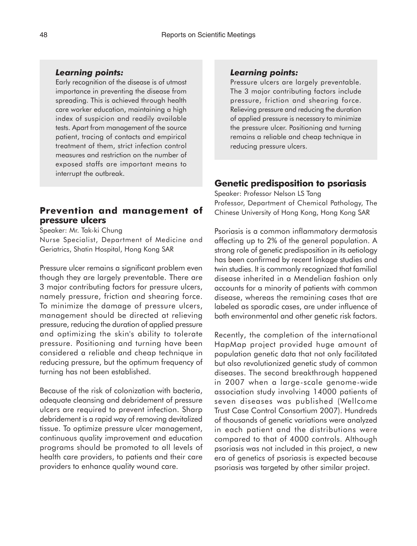### *Learning points:*

Early recognition of the disease is of utmost importance in preventing the disease from spreading. This is achieved through health care worker education, maintaining a high index of suspicion and readily available tests. Apart from management of the source patient, tracing of contacts and empirical treatment of them, strict infection control measures and restriction on the number of exposed staffs are important means to interrupt the outbreak.

# **Prevention and management of pressure ulcers**

Speaker: Mr. Tak-ki Chung

Nurse Specialist, Department of Medicine and Geriatrics, Shatin Hospital, Hong Kong SAR

Pressure ulcer remains a significant problem even though they are largely preventable. There are 3 major contributing factors for pressure ulcers, namely pressure, friction and shearing force. To minimize the damage of pressure ulcers, management should be directed at relieving pressure, reducing the duration of applied pressure and optimizing the skin's ability to tolerate pressure. Positioning and turning have been considered a reliable and cheap technique in reducing pressure, but the optimum frequency of turning has not been established.

Because of the risk of colonization with bacteria, adequate cleansing and debridement of pressure ulcers are required to prevent infection. Sharp debridement is a rapid way of removing devitalized tissue. To optimize pressure ulcer management, continuous quality improvement and education programs should be promoted to all levels of health care providers, to patients and their care providers to enhance quality wound care.

#### *Learning points:*

Pressure ulcers are largely preventable. The 3 major contributing factors include pressure, friction and shearing force. Relieving pressure and reducing the duration of applied pressure is necessary to minimize the pressure ulcer. Positioning and turning remains a reliable and cheap technique in reducing pressure ulcers.

# **Genetic predisposition to psoriasis**

Speaker: Professor Nelson LS Tang Professor, Department of Chemical Pathology, The Chinese University of Hong Kong, Hong Kong SAR

Psoriasis is a common inflammatory dermatosis affecting up to 2% of the general population. A strong role of genetic predisposition in its aetiology has been confirmed by recent linkage studies and twin studies. It is commonly recognized that familial disease inherited in a Mendelian fashion only accounts for a minority of patients with common disease, whereas the remaining cases that are labeled as sporadic cases, are under influence of both environmental and other genetic risk factors.

Recently, the completion of the international HapMap project provided huge amount of population genetic data that not only facilitated but also revolutionized genetic study of common diseases. The second breakthrough happened in 2007 when a large-scale genome-wide association study involving 14000 patients of seven diseases was published (Wellcome Trust Case Control Consortium 2007). Hundreds of thousands of genetic variations were analyzed in each patient and the distributions were compared to that of 4000 controls. Although psoriasis was not included in this project, a new era of genetics of psoriasis is expected because psoriasis was targeted by other similar project.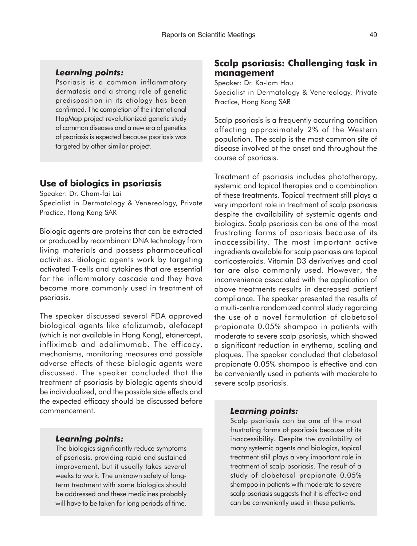#### *Learning points:*

Psoriasis is a common inflammatory dermatosis and a strong role of genetic predisposition in its etiology has been confirmed. The completion of the international HapMap project revolutionized genetic study of common diseases and a new era of genetics of psoriasis is expected because psoriasis was targeted by other similar project.

### **Use of biologics in psoriasis**

Speaker: Dr. Cham-fai Lai Specialist in Dermatology & Venereology, Private Practice, Hong Kong SAR

Biologic agents are proteins that can be extracted or produced by recombinant DNA technology from living materials and possess pharmaceutical activities. Biologic agents work by targeting activated T-cells and cytokines that are essential for the inflammatory cascade and they have become more commonly used in treatment of psoriasis.

The speaker discussed several FDA approved biological agents like efalizumab, alefacept (which is not available in Hong Kong), etanercept, infliximab and adalimumab. The efficacy, mechanisms, monitoring measures and possible adverse effects of these biologic agents were discussed. The speaker concluded that the treatment of psoriasis by biologic agents should be individualized, and the possible side effects and the expected efficacy should be discussed before commencement.

#### *Learning points:*

The biologics significantly reduce symptoms of psoriasis, providing rapid and sustained improvement, but it usually takes several weeks to work. The unknown safety of longterm treatment with some biologics should be addressed and these medicines probably will have to be taken for long periods of time.

# **Scalp psoriasis: Challenging task in management**

Speaker: Dr. Ka-lam Hau Specialist in Dermatology & Venereology, Private Practice, Hong Kong SAR

Scalp psoriasis is a frequently occurring condition affecting approximately 2% of the Western population. The scalp is the most common site of disease involved at the onset and throughout the course of psoriasis.

Treatment of psoriasis includes phototherapy, systemic and topical therapies and a combination of these treatments. Topical treatment still plays a very important role in treatment of scalp psoriasis despite the availability of systemic agents and biologics. Scalp psoriasis can be one of the most frustrating forms of psoriasis because of its inaccessibility. The most important active ingredients available for scalp psoriasis are topical corticosteroids. Vitamin D3 derivatives and coal tar are also commonly used. However, the inconvenience associated with the application of above treatments results in decreased patient compliance. The speaker presented the results of a multi-centre randomized control study regarding the use of a novel formulation of clobetasol propionate 0.05% shampoo in patients with moderate to severe scalp psoriasis, which showed a significant reduction in erythema, scaling and plaques. The speaker concluded that clobetasol propionate 0.05% shampoo is effective and can be conveniently used in patients with moderate to severe scalp psoriasis.

#### *Learning points:*

Scalp psoriasis can be one of the most frustrating forms of psoriasis because of its inaccessibility. Despite the availability of many systemic agents and biologics, topical treatment still plays a very important role in treatment of scalp psoriasis. The result of a study of clobetasol propionate 0.05% shampoo in patients with moderate to severe scalp psoriasis suggests that it is effective and can be conveniently used in these patients.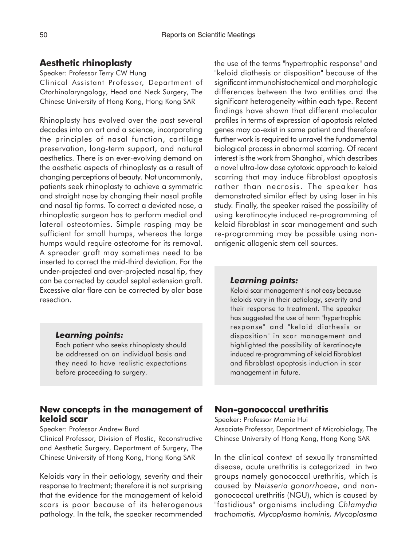### **Aesthetic rhinoplasty**

### Speaker: Professor Terry CW Hung

Clinical Assistant Professor, Department of Otorhinolaryngology, Head and Neck Surgery, The Chinese University of Hong Kong, Hong Kong SAR

Rhinoplasty has evolved over the past several decades into an art and a science, incorporating the principles of nasal function, cartilage preservation, long-term support, and natural aesthetics. There is an ever-evolving demand on the aesthetic aspects of rhinoplasty as a result of changing perceptions of beauty. Not uncommonly, patients seek rhinoplasty to achieve a symmetric and straight nose by changing their nasal profile and nasal tip forms. To correct a deviated nose, a rhinoplastic surgeon has to perform medial and lateral osteotomies. Simple rasping may be sufficient for small humps, whereas the large humps would require osteotome for its removal. A spreader graft may sometimes need to be inserted to correct the mid-third deviation. For the under-projected and over-projected nasal tip, they can be corrected by caudal septal extension graft. Excessive alar flare can be corrected by alar base resection.

### *Learning points:*

Each patient who seeks rhinoplasty should be addressed on an individual basis and they need to have realistic expectations before proceeding to surgery.

### **New concepts in the management of keloid scar**

#### Speaker: Professor Andrew Burd

Clinical Professor, Division of Plastic, Reconstructive and Aesthetic Surgery, Department of Surgery, The Chinese University of Hong Kong, Hong Kong SAR

Keloids vary in their aetiology, severity and their response to treatment; therefore it is not surprising that the evidence for the management of keloid scars is poor because of its heterogenous pathology. In the talk, the speaker recommended

the use of the terms "hypertrophic response" and "keloid diathesis or disposition" because of the significant immunohistochemical and morphologic differences between the two entities and the significant heterogeneity within each type. Recent findings have shown that different molecular profiles in terms of expression of apoptosis related genes may co-exist in same patient and therefore further work is required to unravel the fundamental biological process in abnormal scarring. Of recent interest is the work from Shanghai, which describes a novel ultra-low dose cytotoxic approach to keloid scarring that may induce fibroblast apoptosis rather than necrosis. The speaker has demonstrated similar effect by using laser in his study. Finally, the speaker raised the possibility of using keratinocyte induced re-programming of keloid fibroblast in scar management and such re-programming may be possible using nonantigenic allogenic stem cell sources.

#### *Learning points:*

Keloid scar management is not easy because keloids vary in their aetiology, severity and their response to treatment. The speaker has suggested the use of term "hypertrophic response" and "keloid diathesis or disposition" in scar management and highlighted the possibility of keratinocyte induced re-programming of keloid fibroblast and fibroblast apoptosis induction in scar management in future.

### **Non-gonococcal urethritis**

Speaker: Professor Mamie Hui

Associate Professor, Department of Microbiology, The Chinese University of Hong Kong, Hong Kong SAR

In the clinical context of sexually transmitted disease, acute urethritis is categorized in two groups namely gonococcal urethritis, which is caused by *Neisseria gonorrhoeae*, and nongonococcal urethritis (NGU), which is caused by "fastidious" organisms including *Chlamydia trachomatis, Mycoplasma hominis, Mycoplasma*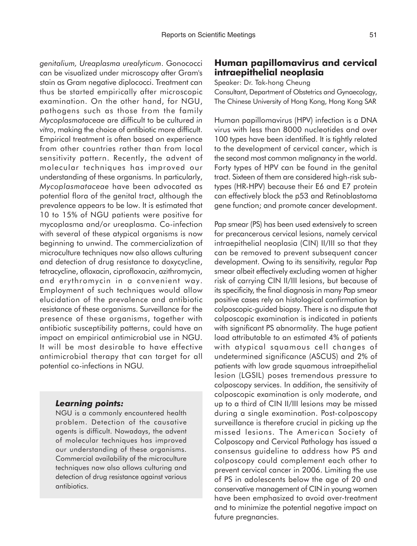*genitalium, Ureaplasma urealyticum*. Gonococci can be visualized under microscopy after Gram's stain as Gram negative diplococci. Treatment can thus be started empirically after microscopic examination. On the other hand, for NGU, pathogens such as those from the family *Mycoplasmataceae* are difficult to be cultured *in vitro*, making the choice of antibiotic more difficult. Empirical treatment is often based on experience from other countries rather than from local sensitivity pattern. Recently, the advent of molecular techniques has improved our understanding of these organisms. In particularly, *Mycoplasmataceae* have been advocated as potential flora of the genital tract, although the prevalence appears to be low. It is estimated that 10 to 15% of NGU patients were positive for mycoplasma and/or ureaplasma. Co-infection with several of these atypical organisms is now beginning to unwind. The commercialization of microculture techniques now also allows culturing and detection of drug resistance to doxycycline, tetracycline, ofloxacin, ciprofloxacin, azithromycin, and erythromycin in a convenient way. Employment of such techniques would allow elucidation of the prevalence and antibiotic resistance of these organisms. Surveillance for the presence of these organisms, together with antibiotic susceptibility patterns, could have an impact on empirical antimicrobial use in NGU. It will be most desirable to have effective antimicrobial therapy that can target for all potential co-infections in NGU.

#### *Learning points:*

NGU is a commonly encountered health problem. Detection of the causative agents is difficult. Nowadays, the advent of molecular techniques has improved our understanding of these organisms. Commercial availability of the microculture techniques now also allows culturing and detection of drug resistance against various antibiotics.

# **Human papillomavirus and cervical intraepithelial neoplasia**

Speaker: Dr. Tak-hong Cheung

Consultant, Department of Obstetrics and Gynaecology, The Chinese University of Hong Kong, Hong Kong SAR

Human papillomavirus (HPV) infection is a DNA virus with less than 8000 nucleotides and over 100 types have been identified. It is tightly related to the development of cervical cancer, which is the second most common malignancy in the world. Forty types of HPV can be found in the genital tract. Sixteen of them are considered high-risk subtypes (HR-HPV) because their E6 and E7 protein can effectively block the p53 and Retinoblastoma gene function; and promote cancer development.

Pap smear (PS) has been used extensively to screen for precancerous cervical lesions, namely cervical intraepithelial neoplasia (CIN) II/III so that they can be removed to prevent subsequent cancer development. Owing to its sensitivity, regular Pap smear albeit effectively excluding women at higher risk of carrying CIN II/III lesions, but because of its specificity, the final diagnosis in many Pap smear positive cases rely on histological confirmation by colposcopic-guided biopsy. There is no dispute that colposcopic examination is indicated in patients with significant PS abnormality. The huge patient load attributable to an estimated 4% of patients with atypical squamous cell changes of undetermined significance (ASCUS) and 2% of patients with low grade squamous intraepithelial lesion (LGSIL) poses tremendous pressure to colposcopy services. In addition, the sensitivity of colposcopic examination is only moderate, and up to a third of CIN II/III lesions may be missed during a single examination. Post-colposcopy surveillance is therefore crucial in picking up the missed lesions. The American Society of Colposcopy and Cervical Pathology has issued a consensus guideline to address how PS and colposcopy could complement each other to prevent cervical cancer in 2006. Limiting the use of PS in adolescents below the age of 20 and conservative management of CIN in young women have been emphasized to avoid over-treatment and to minimize the potential negative impact on future pregnancies.